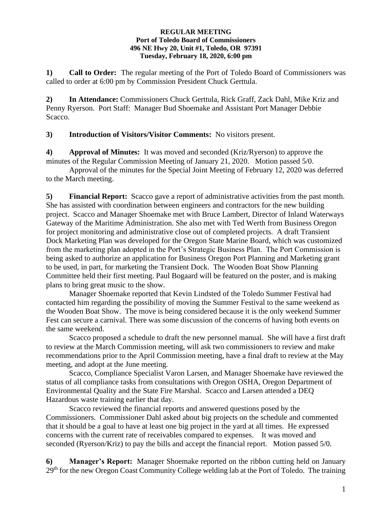## **REGULAR MEETING Port of Toledo Board of Commissioners 496 NE Hwy 20, Unit #1, Toledo, OR 97391 Tuesday, February 18, 2020, 6:00 pm**

**1) Call to Order:** The regular meeting of the Port of Toledo Board of Commissioners was called to order at 6:00 pm by Commission President Chuck Gerttula.

**2) In Attendance:** Commissioners Chuck Gerttula, Rick Graff, Zack Dahl, Mike Kriz and Penny Ryerson. Port Staff: Manager Bud Shoemake and Assistant Port Manager Debbie Scacco.

**3) Introduction of Visitors/Visitor Comments:** No visitors present.

**4) Approval of Minutes:** It was moved and seconded (Kriz/Ryerson) to approve the minutes of the Regular Commission Meeting of January 21, 2020. Motion passed 5/0.

Approval of the minutes for the Special Joint Meeting of February 12, 2020 was deferred to the March meeting.

**5) Financial Report:** Scacco gave a report of administrative activities from the past month. She has assisted with coordination between engineers and contractors for the new building project. Scacco and Manager Shoemake met with Bruce Lambert, Director of Inland Waterways Gateway of the Maritime Administration. She also met with Ted Werth from Business Oregon for project monitoring and administrative close out of completed projects. A draft Transient Dock Marketing Plan was developed for the Oregon State Marine Board, which was customized from the marketing plan adopted in the Port's Strategic Business Plan. The Port Commission is being asked to authorize an application for Business Oregon Port Planning and Marketing grant to be used, in part, for marketing the Transient Dock. The Wooden Boat Show Planning Committee held their first meeting. Paul Bogaard will be featured on the poster, and is making plans to bring great music to the show.

Manager Shoemake reported that Kevin Lindsted of the Toledo Summer Festival had contacted him regarding the possibility of moving the Summer Festival to the same weekend as the Wooden Boat Show. The move is being considered because it is the only weekend Summer Fest can secure a carnival. There was some discussion of the concerns of having both events on the same weekend.

Scacco proposed a schedule to draft the new personnel manual. She will have a first draft to review at the March Commission meeting, will ask two commissioners to review and make recommendations prior to the April Commission meeting, have a final draft to review at the May meeting, and adopt at the June meeting.

Scacco, Compliance Specialist Varon Larsen, and Manager Shoemake have reviewed the status of all compliance tasks from consultations with Oregon OSHA, Oregon Department of Environmental Quality and the State Fire Marshal. Scacco and Larsen attended a DEQ Hazardous waste training earlier that day.

Scacco reviewed the financial reports and answered questions posed by the Commissioners. Commissioner Dahl asked about big projects on the schedule and commented that it should be a goal to have at least one big project in the yard at all times. He expressed concerns with the current rate of receivables compared to expenses. It was moved and seconded (Ryerson/Kriz) to pay the bills and accept the financial report. Motion passed 5/0.

**6) Manager's Report:** Manager Shoemake reported on the ribbon cutting held on January  $29<sup>th</sup>$  for the new Oregon Coast Community College welding lab at the Port of Toledo. The training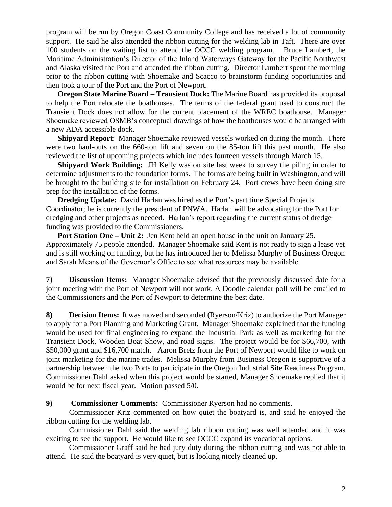program will be run by Oregon Coast Community College and has received a lot of community support. He said he also attended the ribbon cutting for the welding lab in Taft. There are over 100 students on the waiting list to attend the OCCC welding program. Bruce Lambert, the Maritime Administration's Director of the Inland Waterways Gateway for the Pacific Northwest and Alaska visited the Port and attended the ribbon cutting. Director Lambert spent the morning prior to the ribbon cutting with Shoemake and Scacco to brainstorm funding opportunities and then took a tour of the Port and the Port of Newport.

**Oregon State Marine Board – Transient Dock:** The Marine Board has provided its proposal to help the Port relocate the boathouses. The terms of the federal grant used to construct the Transient Dock does not allow for the current placement of the WREC boathouse. Manager Shoemake reviewed OSMB's conceptual drawings of how the boathouses would be arranged with a new ADA accessible dock.

**Shipyard Report**: Manager Shoemake reviewed vessels worked on during the month. There were two haul-outs on the 660-ton lift and seven on the 85-ton lift this past month. He also reviewed the list of upcoming projects which includes fourteen vessels through March 15.

**Shipyard Work Building:** JH Kelly was on site last week to survey the piling in order to determine adjustments to the foundation forms. The forms are being built in Washington, and will be brought to the building site for installation on February 24. Port crews have been doing site prep for the installation of the forms.

**Dredging Update:** David Harlan was hired as the Port's part time Special Projects Coordinator; he is currently the president of PNWA. Harlan will be advocating for the Port for dredging and other projects as needed. Harlan's report regarding the current status of dredge funding was provided to the Commissioners.

**Port Station One – Unit 2:** Jen Kent held an open house in the unit on January 25. Approximately 75 people attended. Manager Shoemake said Kent is not ready to sign a lease yet and is still working on funding, but he has introduced her to Melissa Murphy of Business Oregon and Sarah Means of the Governor's Office to see what resources may be available.

**7) Discussion Items:** Manager Shoemake advised that the previously discussed date for a joint meeting with the Port of Newport will not work. A Doodle calendar poll will be emailed to the Commissioners and the Port of Newport to determine the best date.

**8) Decision Items:** It was moved and seconded (Ryerson/Kriz) to authorize the Port Manager to apply for a Port Planning and Marketing Grant. Manager Shoemake explained that the funding would be used for final engineering to expand the Industrial Park as well as marketing for the Transient Dock, Wooden Boat Show, and road signs. The project would be for \$66,700, with \$50,000 grant and \$16,700 match. Aaron Bretz from the Port of Newport would like to work on joint marketing for the marine trades. Melissa Murphy from Business Oregon is supportive of a partnership between the two Ports to participate in the Oregon Industrial Site Readiness Program. Commissioner Dahl asked when this project would be started, Manager Shoemake replied that it would be for next fiscal year. Motion passed 5/0.

**9) Commissioner Comments:** Commissioner Ryerson had no comments.

Commissioner Kriz commented on how quiet the boatyard is, and said he enjoyed the ribbon cutting for the welding lab.

Commissioner Dahl said the welding lab ribbon cutting was well attended and it was exciting to see the support. He would like to see OCCC expand its vocational options.

Commissioner Graff said he had jury duty during the ribbon cutting and was not able to attend. He said the boatyard is very quiet, but is looking nicely cleaned up.